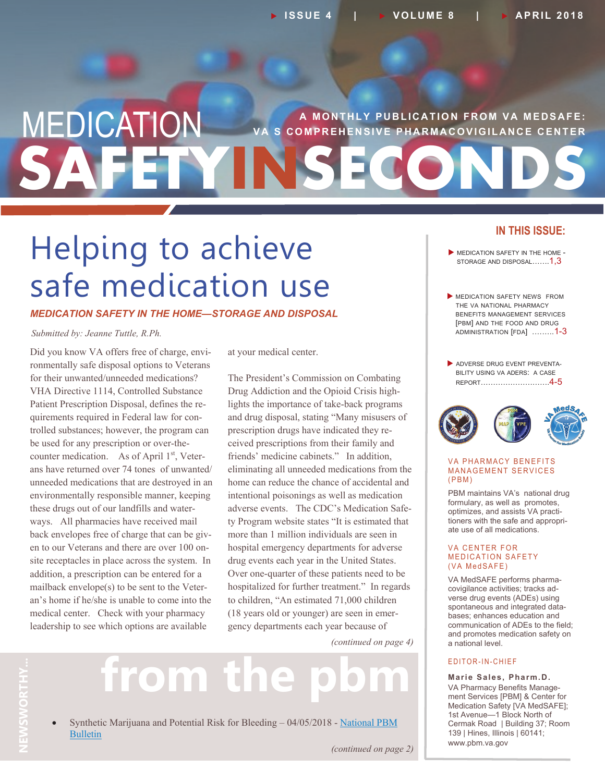### **A MONTHLY PUBLICATION FROM VA MEDSAFE: SAFETYINSECONDS MEDICATION** S COMPREHENSIVE PHARMACOVIGILANCE CENTER

## Helping to achieve safe medication use

### *MEDICATION SAFETY IN THE HOME—STORAGE AND DISPOSAL*

#### *Submitted by: Jeanne Tuttle, R.Ph.*

 for their unwanted/unneeded medications? Did you know VA offers free of charge, environmentally safe disposal options to Veterans VHA Directive 1114, Controlled Substance Patient Prescription Disposal, defines the requirements required in Federal law for controlled substances; however, the program can be used for any prescription or over-thecounter medication. As of April  $1<sup>st</sup>$ , Veterans have returned over 74 tones of unwanted/ unneeded medications that are destroyed in an environmentally responsible manner, keeping these drugs out of our landfills and waterways. All pharmacies have received mail back envelopes free of charge that can be given to our Veterans and there are over 100 onsite receptacles in place across the system. In addition, a prescription can be entered for a mailback envelope(s) to be sent to the Veteran's home if he/she is unable to come into the medical center. Check with your pharmacy leadership to see which options are available

at your medical center.

 adverse events. The CDC's Medication Safe- gency departments each year because of The President's Commission on Combating Drug Addiction and the Opioid Crisis highlights the importance of take-back programs and drug disposal, stating "Many misusers of prescription drugs have indicated they received prescriptions from their family and friends' medicine cabinets." In addition, eliminating all unneeded medications from the home can reduce the chance of accidental and intentional poisonings as well as medication ty Program website states "It is estimated that more than 1 million individuals are seen in hospital emergency departments for adverse drug events each year in the United States. Over one-quarter of these patients need to be hospitalized for further treatment." In regards to children, "An estimated 71,000 children (18 years old or younger) are seen in emer-

*(continued on page 4)*

# from the

• Synthetic Marijuana and Potential Risk for Bleeding - 04/05/2018 - [National](https://www.pbm.va.gov/PBM/vacenterformedicationsafety/nationalpbmbulletin/Synthetic_Marijuana_Potential_Risk_for_Bleeding_NATIONAL_PBM_BULLETIN_FINAL_040518_with_disclaimer.pdf) PBM **THY...**  [Bulletin](https://www.pbm.va.gov/PBM/vacenterformedicationsafety/nationalpbmbulletin/Synthetic_Marijuana_Potential_Risk_for_Bleeding_NATIONAL_PBM_BULLETIN_FINAL_040518_with_disclaimer.pdf)

### **IN THIS ISSUE:**

- **MEDICATION SAFETY IN THE HOME -**STORAGE AND DISPOSAL....... $1,3$
- **MEDICATION SAFETY NEWS FROM**  THE VA NATIONAL PHARMACY BENEFITS MANAGEMENT SERVICES [PBM] AND THE FOOD AND DRUG ADMINISTRATION [FDA] .……..1-3
- ADVERSE DRUG EVENT PREVENTA- BILITY USING VA ADERS: A CASE REPORT……………………….4-5



#### VA PHARMACY BENEFITS MANAGEMENT SERVICES  $(PBM)$

PBM maintains VA's national drug formulary, as well as promotes, optimizes, and assists VA practitioners with the safe and appropriate use of all medications.

#### VA CENTER FOR MEDICATION SAFETY (VA MedSAFE)

VA MedSAFE performs pharmacovigilance activities; tracks adverse drug events (ADEs) using spontaneous and integrated databases; enhances education and communication of ADEs to the field; and promotes medication safety on a national level.

### E D I T O R - I N - C H I E F

### **Marie Sales, Pharm.D.** VA Pharmacy Benefits Manage-

ment Services [PBM] & Center for Medication Safety [VA MedSAFE]; 1st Avenue—1 Block North of Cermak Road | Building 37; Room 139 | Hines, Illinois | 60141; <www.pbm.va.gov>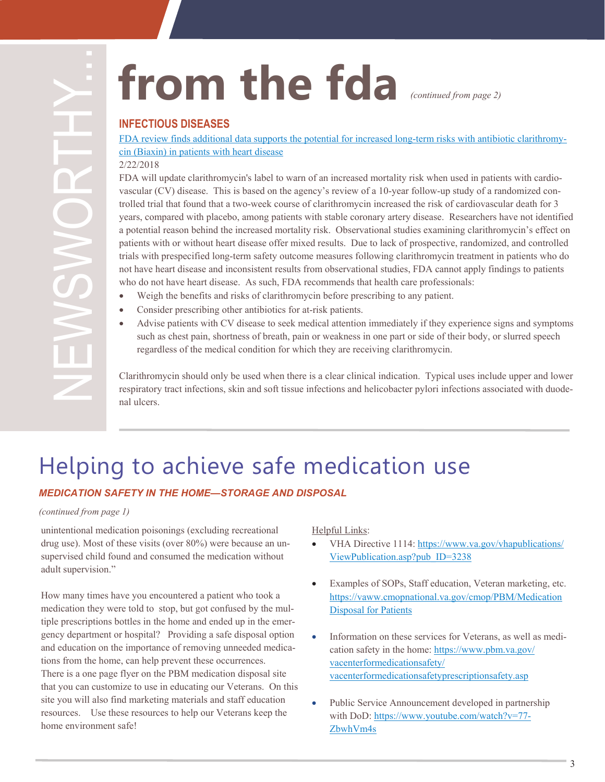**INFECTIOUS DISEASES** 

[FDA review finds additional data supports the potential for increased long](https://www.fda.gov/Drugs/DrugSafety/ucm597289.htm)-term risks with antibiotic clarithromy[cin \(Biaxin\) in patients with heart disease](https://www.fda.gov/Drugs/DrugSafety/ucm597289.htm)

### 2/22/2018

**EXECTIOUS DISEASES**<br> **EXECTIOUS DISEASES**<br> **EXECTIOUS DISEASES**<br> **EXECTIOUS DISEASES**<br> **EXECTION CONTIFICATION**<br> **EXECTION CONTIFICATION**<br> **EXECTION AND IN DISPARENT CONTIFICATION**<br> **EXECTION AND IN DISPARENT CONTIFICATIO** FDA will update clarithromycin's label to warn of an increased mortality risk when used in patients with cardio vascular (CV) disease. This is based on the agency's review of a 10-year follow-up study of a randomized controlled trial that found that a two -week course of clarithromycin increased the risk of cardiovascular death for 3 years, compared with placebo, among patients with stable coronary artery disease. Researchers have not identified a potential reason behind the increased mortality risk. Observational studies examining clarithromycin's effect on patients with or without heart disease offer mixed results. Due to lack of prospective, randomized, and controlled trials with prespecified long -term safety outcome measures following clarithromycin treatment in patients who do not have heart disease and inconsistent results from observational studies, FDA cannot apply findings to patients who do not have heart disease. As such, FDA recommends that health care professionals:

- Weigh the benefits and risks of clarithromycin before prescribing to any patient.
- Consider prescribing other antibiotics for at-risk patients.
- regardless of the medical condition for which they are receiving clarithromycin. Advise patients with CV disease to seek medical attention immediately if they experience signs and symptoms such as chest pain, shortness of breath, pain or weakness in one part or side of their body, or slurred speech

Clarithromycin should only be used when there is a clear clinical indication. Typical uses include upper and lower respiratory tract infections, skin and soft tissue infections and helicobacter pylori infections associated with duode nal ulcers.

### Helping to achieve safe medication use

### *MEDICATION SAFETY IN THE HOME—STORAGE AND DISPOSAL*

### *(continued from page 1)*

unintentional medication poisonings (excluding recreational drug use). Most of these visits (over 80%) were because an unsupervised child found and consumed the medication without adult supervision."

 gency department or hospital? Providing a safe disposal option How many times have you encountered a patient who took a medication they were told to stop, but got confused by the multiple prescriptions bottles in the home and ended up in the emer and education on the importance of removing unneeded medica tions from the home, can help prevent these occurrences. There is a one page flyer on the PBM medication disposal site that you can customize to use in educating our Veterans. On this site you will also find marketing materials and staff education resources. Use these resources to help our Veterans keep the home environment safe!

Helpful Links:

- VHA Directive 1114: [https://www.va.gov/vhapublications/](https://www.va.gov/vhapublications/ViewPublication.asp?pub_ID=3238) [ViewPublication.asp?pub\\_ID=3238](https://www.va.gov/vhapublications/ViewPublication.asp?pub_ID=3238)
- Examples of SOPs, Staff education, Veteran marketing, etc. [https://vaww.cmopnational.va.gov/cmop/PBM/Medication](https://vaww.cmopnational.va.gov/cmop/PBM/Medication%20Disposal%20for%20Patients) [Disposal for Patients](https://vaww.cmopnational.va.gov/cmop/PBM/Medication%20Disposal%20for%20Patients)
- Information on these services for Veterans, as well as medication safety in the home: [https://www.pbm.va.gov/](https://www.pbm.va.gov/vacenterformedicationsafety/vacenterformedicationsafetyprescriptionsafety.asp) [vacenterformedicationsafety/](https://www.pbm.va.gov/vacenterformedicationsafety/vacenterformedicationsafetyprescriptionsafety.asp) [vacenterformedicationsafetyprescriptionsafety.asp](https://www.pbm.va.gov/vacenterformedicationsafety/vacenterformedicationsafetyprescriptionsafety.asp)
- Public Service Announcement developed in partnership with DoD: [https://www.youtube.com/watch?v=77](https://www.youtube.com/watch?v=77-ZbwhVm4s)-[ZbwhVm4s](https://www.youtube.com/watch?v=77-ZbwhVm4s)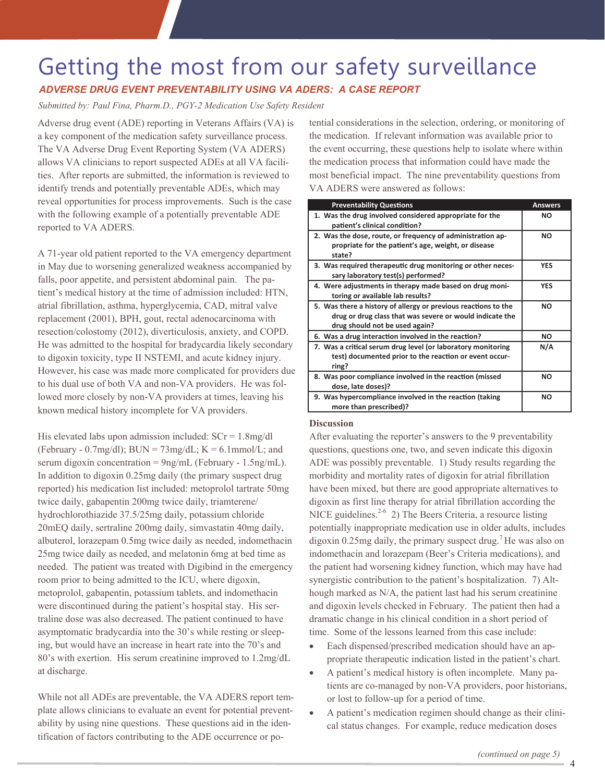### Getting the most from our safety surveillance

### *ADVERSE DRUG EVENT PREVENTABILITY USING VA ADERS: A CASE REPORT*

 *Submitted by: Paul Fina, Pharm.D., PGY-2 Medication Use Safety Resident*

Adverse drug event (ADE) reporting in Veterans Affairs (VA) is a key component of the medication safety surveillance process. The VA Adverse Drug Event Reporting System (VA ADERS) allows VA clinicians to report suspected ADEs at all VA facilities. After reports are submitted, the information is reviewed to identify trends and potentially preventable ADEs, which may reveal opportunities for process improvements. Such is the case with the following example of a potentially preventable ADE reported to VA ADERS.

 resection/colostomy (2012), diverticulosis, anxiety, and COPD. A 71-year old patient reported to the VA emergency department in May due to worsening generalized weakness accompanied by falls, poor appetite, and persistent abdominal pain. The patient's medical history at the time of admission included: HTN, atrial fibrillation, asthma, hyperglycemia, CAD, mitral valve replacement (2001), BPH, gout, rectal adenocarcinoma with He was admitted to the hospital for bradycardia likely secondary to digoxin toxicity, type II NSTEMI, and acute kidney injury. However, his case was made more complicated for providers due to his dual use of both VA and non-VA providers. He was followed more closely by non-VA providers at times, leaving his known medical history incomplete for VA providers.

serum digoxin concentration = 9ng/mL (February - 1.5ng/mL). His elevated labs upon admission included:  $SCr = 1.8mg/dl$ (February - 0.7mg/dl);  $BUN = 73mg/dL$ ;  $K = 6.1mmol/L$ ; and In addition to digoxin 0.25mg daily (the primary suspect drug reported) his medication list included: metoprolol tartrate 50mg twice daily, gabapentin 200mg twice daily, triamterene/ hydrochlorothiazide 37.5/25mg daily, potassium chloride 20mEQ daily, sertraline 200mg daily, simvastatin 40mg daily, albuterol, lorazepam 0.5mg twice daily as needed, indomethacin 25mg twice daily as needed, and melatonin 6mg at bed time as needed. The patient was treated with Digibind in the emergency room prior to being admitted to the ICU, where digoxin, metoprolol, gabapentin, potassium tablets, and indomethacin were discontinued during the patient's hospital stay. His sertraline dose was also decreased. The patient continued to have asymptomatic bradycardia into the 30's while resting or sleeping, but would have an increase in heart rate into the 70's and 80's with exertion. His serum creatinine improved to 1.2mg/dL at discharge.

 ability by using nine questions. These questions aid in the iden-While not all ADEs are preventable, the VA ADERS report template allows clinicians to evaluate an event for potential preventtification of factors contributing to the ADE occurrence or po-

 most beneficial impact. The nine preventability questions from tential considerations in the selection, ordering, or monitoring of the medication. If relevant information was available prior to the event occurring, these questions help to isolate where within the medication process that information could have made the VA ADERS were answered as follows:

| <b>Preventability Questions</b>                                                                                                                              | <b>Answers</b> |
|--------------------------------------------------------------------------------------------------------------------------------------------------------------|----------------|
| 1. Was the drug involved considered appropriate for the<br>patient's clinical condition?                                                                     | <b>NO</b>      |
| 2. Was the dose, route, or frequency of administration ap-<br>propriate for the patient's age, weight, or disease<br>state?                                  | <b>NO</b>      |
| 3. Was required therapeutic drug monitoring or other neces-<br>sary laboratory test(s) performed?                                                            | <b>YFS</b>     |
| 4. Were adjustments in therapy made based on drug moni-<br>toring or available lab results?                                                                  | <b>YES</b>     |
| 5. Was there a history of allergy or previous reactions to the<br>drug or drug class that was severe or would indicate the<br>drug should not be used again? | <b>NO</b>      |
| 6. Was a drug interaction involved in the reaction?                                                                                                          | <b>NO</b>      |
| 7. Was a critical serum drug level (or laboratory monitoring<br>test) documented prior to the reaction or event occur-<br>ring?                              | N/A            |
| 8. Was poor compliance involved in the reaction (missed<br>dose, late doses)?                                                                                | <b>NO</b>      |
| 9. Was hypercompliance involved in the reaction (taking<br>more than prescribed)?                                                                            | <b>NO</b>      |

### **Discussion**

NICE guidelines. $2-6$  2) The Beers Criteria, a resource listing After evaluating the reporter's answers to the 9 preventability questions, questions one, two, and seven indicate this digoxin ADE was possibly preventable. 1) Study results regarding the morbidity and mortality rates of digoxin for atrial fibrillation have been mixed, but there are good appropriate alternatives to digoxin as first line therapy for atrial fibrillation according the potentially inappropriate medication use in older adults, includes digoxin 0.25mg daily, the primary suspect drug.<sup>7</sup> He was also on indomethacin and lorazepam (Beer's Criteria medications), and the patient had worsening kidney function, which may have had synergistic contribution to the patient's hospitalization. 7) Although marked as N/A, the patient last had his serum creatinine and digoxin levels checked in February. The patient then had a dramatic change in his clinical condition in a short period of time. Some of the lessons learned from this case include:

- Each dispensed/prescribed medication should have an appropriate therapeutic indication listed in the patient's chart.
- A patient's medical history is often incomplete. Many patients are co-managed by non-VA providers, poor historians, or lost to follow-up for a period of time.
- A patient's medication regimen should change as their clinical status changes. For example, reduce medication doses